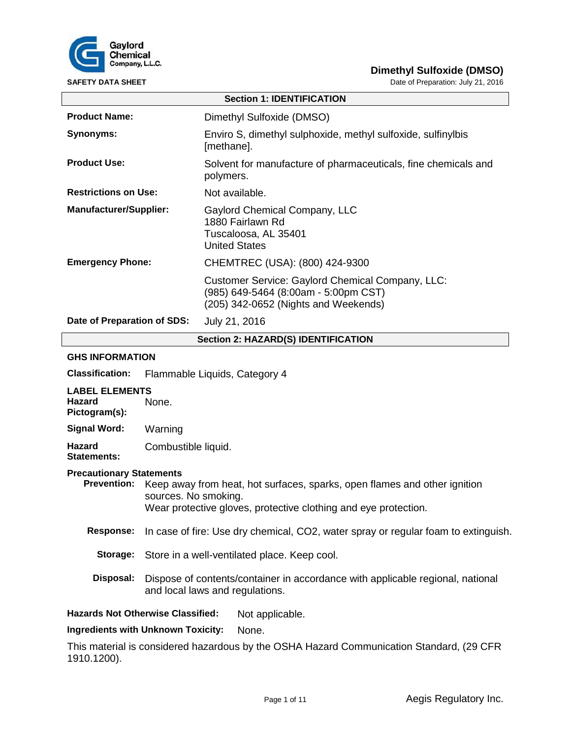

| <b>SAFETY DATA SHEET</b>                                |                                                                                                                                                                      | Date of Preparation: July 21, 2016                                                                                               |  |
|---------------------------------------------------------|----------------------------------------------------------------------------------------------------------------------------------------------------------------------|----------------------------------------------------------------------------------------------------------------------------------|--|
|                                                         |                                                                                                                                                                      | <b>Section 1: IDENTIFICATION</b>                                                                                                 |  |
| <b>Product Name:</b>                                    |                                                                                                                                                                      | Dimethyl Sulfoxide (DMSO)                                                                                                        |  |
| <b>Synonyms:</b>                                        |                                                                                                                                                                      | Enviro S, dimethyl sulphoxide, methyl sulfoxide, sulfinylbis<br>[methane].                                                       |  |
| <b>Product Use:</b>                                     |                                                                                                                                                                      | Solvent for manufacture of pharmaceuticals, fine chemicals and<br>polymers.                                                      |  |
| <b>Restrictions on Use:</b>                             |                                                                                                                                                                      | Not available.                                                                                                                   |  |
| <b>Manufacturer/Supplier:</b>                           |                                                                                                                                                                      | Gaylord Chemical Company, LLC<br>1880 Fairlawn Rd<br>Tuscaloosa, AL 35401<br><b>United States</b>                                |  |
| <b>Emergency Phone:</b>                                 |                                                                                                                                                                      | CHEMTREC (USA): (800) 424-9300                                                                                                   |  |
|                                                         |                                                                                                                                                                      | Customer Service: Gaylord Chemical Company, LLC:<br>(985) 649-5464 (8:00am - 5:00pm CST)<br>(205) 342-0652 (Nights and Weekends) |  |
| Date of Preparation of SDS:                             |                                                                                                                                                                      | July 21, 2016                                                                                                                    |  |
| Section 2: HAZARD(S) IDENTIFICATION                     |                                                                                                                                                                      |                                                                                                                                  |  |
| <b>GHS INFORMATION</b>                                  |                                                                                                                                                                      |                                                                                                                                  |  |
| <b>Classification:</b>                                  | Flammable Liquids, Category 4                                                                                                                                        |                                                                                                                                  |  |
| <b>LABEL ELEMENTS</b><br><b>Hazard</b><br>Pictogram(s): | None.                                                                                                                                                                |                                                                                                                                  |  |
| <b>Signal Word:</b>                                     | Warning                                                                                                                                                              |                                                                                                                                  |  |
| <b>Hazard</b><br><b>Statements:</b>                     | Combustible liquid.                                                                                                                                                  |                                                                                                                                  |  |
| <b>Precautionary Statements</b><br><b>Prevention:</b>   | Keep away from heat, hot surfaces, sparks, open flames and other ignition<br>sources. No smoking.<br>Wear protective gloves, protective clothing and eye protection. |                                                                                                                                  |  |
| <b>Response:</b>                                        |                                                                                                                                                                      | In case of fire: Use dry chemical, CO2, water spray or regular foam to extinguish.                                               |  |
| Storage:                                                |                                                                                                                                                                      | Store in a well-ventilated place. Keep cool.                                                                                     |  |
| Disposal:                                               | Dispose of contents/container in accordance with applicable regional, national<br>and local laws and regulations.                                                    |                                                                                                                                  |  |

**Hazards Not Otherwise Classified:** Not applicable.

**Ingredients with Unknown Toxicity:** None.

This material is considered hazardous by the OSHA Hazard Communication Standard, (29 CFR 1910.1200).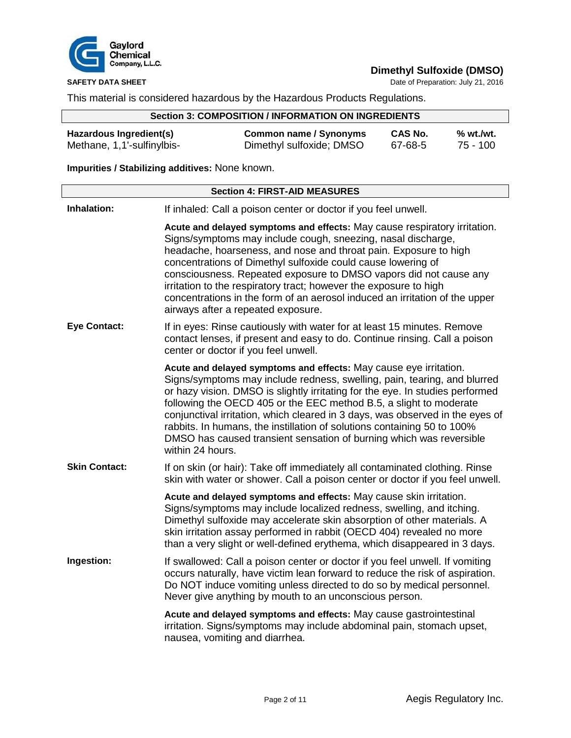

**SAFETY DATA SHEET** Date of Preparation: July 21, 2016

This material is considered hazardous by the Hazardous Products Regulations.

# **Section 3: COMPOSITION / INFORMATION ON INGREDIENTS**

| Hazardous Ingredient(s)    | <b>Common name / Synonyms</b> | CAS No. | % wt./wt. |
|----------------------------|-------------------------------|---------|-----------|
| Methane, 1,1'-sulfinylbis- | Dimethyl sulfoxide; DMSO      | 67-68-5 | 75 - 100  |

# **Impurities / Stabilizing additives:** None known.

| <b>Section 4: FIRST-AID MEASURES</b> |                                                                                                                                                                                                                                                                                                                                                                                                                                                                                                                                                             |  |
|--------------------------------------|-------------------------------------------------------------------------------------------------------------------------------------------------------------------------------------------------------------------------------------------------------------------------------------------------------------------------------------------------------------------------------------------------------------------------------------------------------------------------------------------------------------------------------------------------------------|--|
| Inhalation:                          | If inhaled: Call a poison center or doctor if you feel unwell.                                                                                                                                                                                                                                                                                                                                                                                                                                                                                              |  |
|                                      | Acute and delayed symptoms and effects: May cause respiratory irritation.<br>Signs/symptoms may include cough, sneezing, nasal discharge,<br>headache, hoarseness, and nose and throat pain. Exposure to high<br>concentrations of Dimethyl sulfoxide could cause lowering of<br>consciousness. Repeated exposure to DMSO vapors did not cause any<br>irritation to the respiratory tract; however the exposure to high<br>concentrations in the form of an aerosol induced an irritation of the upper<br>airways after a repeated exposure.                |  |
| <b>Eye Contact:</b>                  | If in eyes: Rinse cautiously with water for at least 15 minutes. Remove<br>contact lenses, if present and easy to do. Continue rinsing. Call a poison<br>center or doctor if you feel unwell.                                                                                                                                                                                                                                                                                                                                                               |  |
|                                      | Acute and delayed symptoms and effects: May cause eye irritation.<br>Signs/symptoms may include redness, swelling, pain, tearing, and blurred<br>or hazy vision. DMSO is slightly irritating for the eye. In studies performed<br>following the OECD 405 or the EEC method B.5, a slight to moderate<br>conjunctival irritation, which cleared in 3 days, was observed in the eyes of<br>rabbits. In humans, the instillation of solutions containing 50 to 100%<br>DMSO has caused transient sensation of burning which was reversible<br>within 24 hours. |  |
| <b>Skin Contact:</b>                 | If on skin (or hair): Take off immediately all contaminated clothing. Rinse<br>skin with water or shower. Call a poison center or doctor if you feel unwell.                                                                                                                                                                                                                                                                                                                                                                                                |  |
|                                      | Acute and delayed symptoms and effects: May cause skin irritation.<br>Signs/symptoms may include localized redness, swelling, and itching.<br>Dimethyl sulfoxide may accelerate skin absorption of other materials. A<br>skin irritation assay performed in rabbit (OECD 404) revealed no more<br>than a very slight or well-defined erythema, which disappeared in 3 days.                                                                                                                                                                                 |  |
| Ingestion:                           | If swallowed: Call a poison center or doctor if you feel unwell. If vomiting<br>occurs naturally, have victim lean forward to reduce the risk of aspiration.<br>Do NOT induce vomiting unless directed to do so by medical personnel.<br>Never give anything by mouth to an unconscious person.                                                                                                                                                                                                                                                             |  |
|                                      | Acute and delayed symptoms and effects: May cause gastrointestinal<br>irritation. Signs/symptoms may include abdominal pain, stomach upset,<br>nausea, vomiting and diarrhea.                                                                                                                                                                                                                                                                                                                                                                               |  |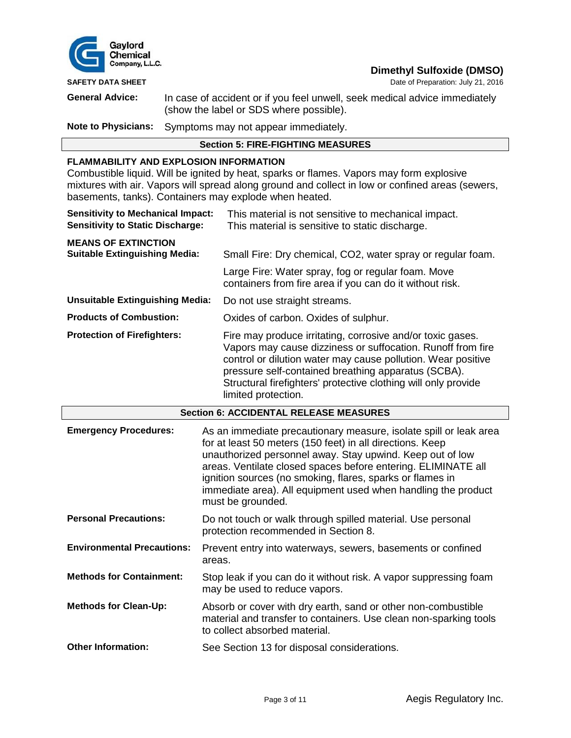

**SAFETY DATA SHEET DATA SHEET DATA SHEET DATA SHEET DATA SHEET DATA SHEET DATA SHEET DATA SHEET DATA SHEET DATA SHEET DATA SHEET DATA SHEET DATA SHEET DATA SHEET DATA SHEET DATA SHEET DATA S** 

**General Advice:** In case of accident or if you feel unwell, seek medical advice immediately (show the label or SDS where possible).

**Note to Physicians:** Symptoms may not appear immediately.

# **Section 5: FIRE-FIGHTING MEASURES**

### **FLAMMABILITY AND EXPLOSION INFORMATION**

Combustible liquid. Will be ignited by heat, sparks or flames. Vapors may form explosive mixtures with air. Vapors will spread along ground and collect in low or confined areas (sewers, basements, tanks). Containers may explode when heated.

| <b>Sensitivity to Mechanical Impact:</b><br><b>Sensitivity to Static Discharge:</b> | This material is not sensitive to mechanical impact.<br>This material is sensitive to static discharge.                                                                                                                                                                                                                                   |
|-------------------------------------------------------------------------------------|-------------------------------------------------------------------------------------------------------------------------------------------------------------------------------------------------------------------------------------------------------------------------------------------------------------------------------------------|
| <b>MEANS OF EXTINCTION</b><br><b>Suitable Extinguishing Media:</b>                  | Small Fire: Dry chemical, CO2, water spray or regular foam.                                                                                                                                                                                                                                                                               |
|                                                                                     | Large Fire: Water spray, fog or regular foam. Move<br>containers from fire area if you can do it without risk.                                                                                                                                                                                                                            |
| <b>Unsuitable Extinguishing Media:</b>                                              | Do not use straight streams.                                                                                                                                                                                                                                                                                                              |
| <b>Products of Combustion:</b>                                                      | Oxides of carbon. Oxides of sulphur.                                                                                                                                                                                                                                                                                                      |
| <b>Protection of Firefighters:</b>                                                  | Fire may produce irritating, corrosive and/or toxic gases.<br>Vapors may cause dizziness or suffocation. Runoff from fire<br>control or dilution water may cause pollution. Wear positive<br>pressure self-contained breathing apparatus (SCBA).<br>Structural firefighters' protective clothing will only provide<br>limited protection. |

| <b>Section 6: ACCIDENTAL RELEASE MEASURES</b> |                                                                                                                                                                                                                                                                                                                                                                                                                 |  |
|-----------------------------------------------|-----------------------------------------------------------------------------------------------------------------------------------------------------------------------------------------------------------------------------------------------------------------------------------------------------------------------------------------------------------------------------------------------------------------|--|
| <b>Emergency Procedures:</b>                  | As an immediate precautionary measure, isolate spill or leak area<br>for at least 50 meters (150 feet) in all directions. Keep<br>unauthorized personnel away. Stay upwind. Keep out of low<br>areas. Ventilate closed spaces before entering. ELIMINATE all<br>ignition sources (no smoking, flares, sparks or flames in<br>immediate area). All equipment used when handling the product<br>must be grounded. |  |
| <b>Personal Precautions:</b>                  | Do not touch or walk through spilled material. Use personal<br>protection recommended in Section 8.                                                                                                                                                                                                                                                                                                             |  |
| <b>Environmental Precautions:</b>             | Prevent entry into waterways, sewers, basements or confined<br>areas.                                                                                                                                                                                                                                                                                                                                           |  |
| <b>Methods for Containment:</b>               | Stop leak if you can do it without risk. A vapor suppressing foam<br>may be used to reduce vapors.                                                                                                                                                                                                                                                                                                              |  |
| <b>Methods for Clean-Up:</b>                  | Absorb or cover with dry earth, sand or other non-combustible<br>material and transfer to containers. Use clean non-sparking tools<br>to collect absorbed material.                                                                                                                                                                                                                                             |  |
| <b>Other Information:</b>                     | See Section 13 for disposal considerations.                                                                                                                                                                                                                                                                                                                                                                     |  |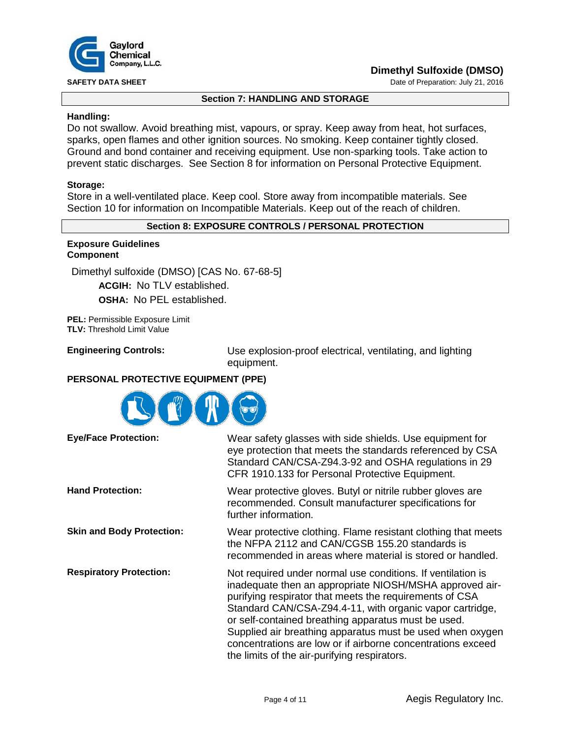

**SAFETY DATA SHEET SHEET DATA SHEET Date of Preparation: July 21, 2016** 

## **Section 7: HANDLING AND STORAGE**

# **Handling:**

Do not swallow. Avoid breathing mist, vapours, or spray. Keep away from heat, hot surfaces, sparks, open flames and other ignition sources. No smoking. Keep container tightly closed. Ground and bond container and receiving equipment. Use non-sparking tools. Take action to prevent static discharges. See Section 8 for information on Personal Protective Equipment.

## **Storage:**

Store in a well-ventilated place. Keep cool. Store away from incompatible materials. See Section 10 for information on Incompatible Materials. Keep out of the reach of children.

# **Section 8: EXPOSURE CONTROLS / PERSONAL PROTECTION**

#### **Exposure Guidelines Component**

Dimethyl sulfoxide (DMSO) [CAS No. 67-68-5]

**ACGIH:** No TLV established.

**OSHA:** No PEL established.

**PEL:** Permissible Exposure Limit **TLV:** Threshold Limit Value

**Engineering Controls:** Use explosion-proof electrical, ventilating, and lighting equipment.

# **PERSONAL PROTECTIVE EQUIPMENT (PPE)**



| <b>Eye/Face Protection:</b>      | Wear safety glasses with side shields. Use equipment for<br>eye protection that meets the standards referenced by CSA<br>Standard CAN/CSA-Z94.3-92 and OSHA regulations in 29<br>CFR 1910.133 for Personal Protective Equipment.                                                                                                                                                                                                                                                 |
|----------------------------------|----------------------------------------------------------------------------------------------------------------------------------------------------------------------------------------------------------------------------------------------------------------------------------------------------------------------------------------------------------------------------------------------------------------------------------------------------------------------------------|
| <b>Hand Protection:</b>          | Wear protective gloves. Butyl or nitrile rubber gloves are<br>recommended. Consult manufacturer specifications for<br>further information.                                                                                                                                                                                                                                                                                                                                       |
| <b>Skin and Body Protection:</b> | Wear protective clothing. Flame resistant clothing that meets<br>the NFPA 2112 and CAN/CGSB 155.20 standards is<br>recommended in areas where material is stored or handled.                                                                                                                                                                                                                                                                                                     |
| <b>Respiratory Protection:</b>   | Not required under normal use conditions. If ventilation is<br>inadequate then an appropriate NIOSH/MSHA approved air-<br>purifying respirator that meets the requirements of CSA<br>Standard CAN/CSA-Z94.4-11, with organic vapor cartridge,<br>or self-contained breathing apparatus must be used.<br>Supplied air breathing apparatus must be used when oxygen<br>concentrations are low or if airborne concentrations exceed<br>the limits of the air-purifying respirators. |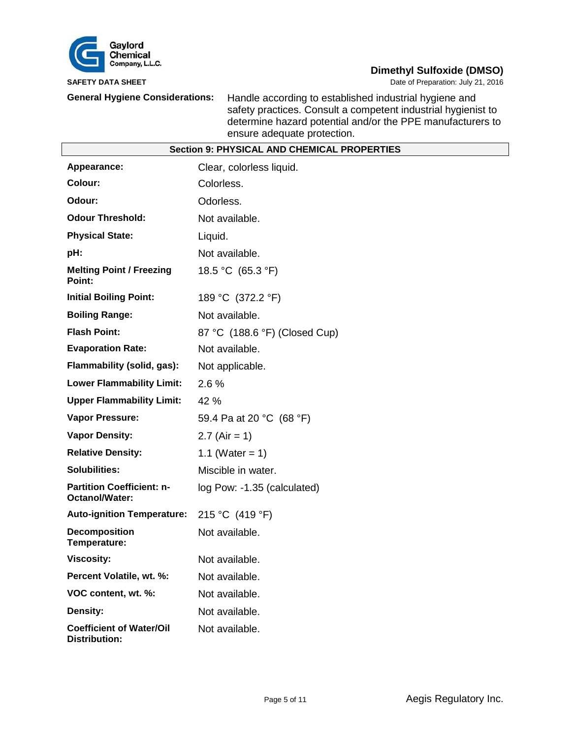

**SAFETY DATA SHEET DATA SHEET Date of Preparation: July 21, 2016** 

**General Hygiene Considerations:** Handle according to established industrial hygiene and safety practices. Consult a competent industrial hygienist to determine hazard potential and/or the PPE manufacturers to ensure adequate protection.

| <b>Section 9: PHYSICAL AND CHEMICAL PROPERTIES</b>      |                               |  |
|---------------------------------------------------------|-------------------------------|--|
| Appearance:                                             | Clear, colorless liquid.      |  |
| Colour:                                                 | Colorless.                    |  |
| Odour:                                                  | Odorless.                     |  |
| <b>Odour Threshold:</b>                                 | Not available.                |  |
| <b>Physical State:</b>                                  | Liquid.                       |  |
| pH:                                                     | Not available.                |  |
| <b>Melting Point / Freezing</b><br>Point:               | 18.5 °C (65.3 °F)             |  |
| <b>Initial Boiling Point:</b>                           | 189 °C (372.2 °F)             |  |
| <b>Boiling Range:</b>                                   | Not available.                |  |
| <b>Flash Point:</b>                                     | 87 °C (188.6 °F) (Closed Cup) |  |
| <b>Evaporation Rate:</b>                                | Not available.                |  |
| Flammability (solid, gas):                              | Not applicable.               |  |
| <b>Lower Flammability Limit:</b>                        | 2.6%                          |  |
| <b>Upper Flammability Limit:</b>                        | 42 %                          |  |
| <b>Vapor Pressure:</b>                                  | 59.4 Pa at 20 °C (68 °F)      |  |
| <b>Vapor Density:</b>                                   | 2.7 (Air = 1)                 |  |
| <b>Relative Density:</b>                                | 1.1 (Water = 1)               |  |
| <b>Solubilities:</b>                                    | Miscible in water.            |  |
| <b>Partition Coefficient: n-</b><br>Octanol/Water:      | log Pow: -1.35 (calculated)   |  |
| <b>Auto-ignition Temperature:</b>                       | 215 °C (419 °F)               |  |
| <b>Decomposition</b><br>Temperature:                    | Not available.                |  |
| <b>Viscosity:</b>                                       | Not available.                |  |
| Percent Volatile, wt. %:                                | Not available.                |  |
| VOC content, wt. %:                                     | Not available.                |  |
| Density:                                                | Not available.                |  |
| <b>Coefficient of Water/Oil</b><br><b>Distribution:</b> | Not available.                |  |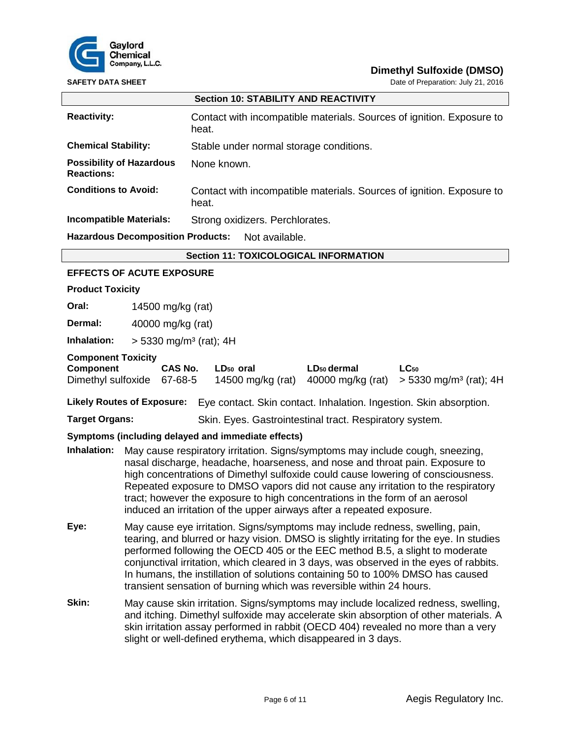

**SAFETY DATA SHEET DATA SHEET Date of Preparation: July 21, 2016** 

| <b>Section 10: STABILITY AND REACTIVITY</b>                                                                                                                                                                                                                                                                                                                                                                                                                                                                           |                                          |                                                                                                                                                                                                                                                                                                                                  |  |  |
|-----------------------------------------------------------------------------------------------------------------------------------------------------------------------------------------------------------------------------------------------------------------------------------------------------------------------------------------------------------------------------------------------------------------------------------------------------------------------------------------------------------------------|------------------------------------------|----------------------------------------------------------------------------------------------------------------------------------------------------------------------------------------------------------------------------------------------------------------------------------------------------------------------------------|--|--|
| <b>Reactivity:</b>                                                                                                                                                                                                                                                                                                                                                                                                                                                                                                    |                                          | Contact with incompatible materials. Sources of ignition. Exposure to<br>heat.                                                                                                                                                                                                                                                   |  |  |
| <b>Chemical Stability:</b>                                                                                                                                                                                                                                                                                                                                                                                                                                                                                            |                                          | Stable under normal storage conditions.                                                                                                                                                                                                                                                                                          |  |  |
| <b>Reactions:</b>                                                                                                                                                                                                                                                                                                                                                                                                                                                                                                     | <b>Possibility of Hazardous</b>          | None known.                                                                                                                                                                                                                                                                                                                      |  |  |
| <b>Conditions to Avoid:</b><br>Contact with incompatible materials. Sources of ignition. Exposure to<br>heat.                                                                                                                                                                                                                                                                                                                                                                                                         |                                          |                                                                                                                                                                                                                                                                                                                                  |  |  |
|                                                                                                                                                                                                                                                                                                                                                                                                                                                                                                                       | <b>Incompatible Materials:</b>           | Strong oxidizers. Perchlorates.                                                                                                                                                                                                                                                                                                  |  |  |
|                                                                                                                                                                                                                                                                                                                                                                                                                                                                                                                       | <b>Hazardous Decomposition Products:</b> | Not available.                                                                                                                                                                                                                                                                                                                   |  |  |
|                                                                                                                                                                                                                                                                                                                                                                                                                                                                                                                       |                                          | <b>Section 11: TOXICOLOGICAL INFORMATION</b>                                                                                                                                                                                                                                                                                     |  |  |
|                                                                                                                                                                                                                                                                                                                                                                                                                                                                                                                       | <b>EFFECTS OF ACUTE EXPOSURE</b>         |                                                                                                                                                                                                                                                                                                                                  |  |  |
| <b>Product Toxicity</b>                                                                                                                                                                                                                                                                                                                                                                                                                                                                                               |                                          |                                                                                                                                                                                                                                                                                                                                  |  |  |
| Oral:                                                                                                                                                                                                                                                                                                                                                                                                                                                                                                                 | 14500 mg/kg (rat)                        |                                                                                                                                                                                                                                                                                                                                  |  |  |
| Dermal:                                                                                                                                                                                                                                                                                                                                                                                                                                                                                                               | 40000 mg/kg (rat)                        |                                                                                                                                                                                                                                                                                                                                  |  |  |
| Inhalation:                                                                                                                                                                                                                                                                                                                                                                                                                                                                                                           |                                          | $> 5330$ mg/m <sup>3</sup> (rat); 4H                                                                                                                                                                                                                                                                                             |  |  |
| <b>Component Toxicity</b><br><b>Component</b><br>CAS No.<br>LD <sub>50</sub> oral<br>LD <sub>50</sub> dermal<br>$LC_{50}$<br>Dimethyl sulfoxide<br>40000 mg/kg (rat)<br>67-68-5<br>14500 mg/kg (rat)<br>$> 5330$ mg/m <sup>3</sup> (rat); 4H                                                                                                                                                                                                                                                                          |                                          |                                                                                                                                                                                                                                                                                                                                  |  |  |
|                                                                                                                                                                                                                                                                                                                                                                                                                                                                                                                       | <b>Likely Routes of Exposure:</b>        | Eye contact. Skin contact. Inhalation. Ingestion. Skin absorption.                                                                                                                                                                                                                                                               |  |  |
| <b>Target Organs:</b>                                                                                                                                                                                                                                                                                                                                                                                                                                                                                                 |                                          | Skin. Eyes. Gastrointestinal tract. Respiratory system.                                                                                                                                                                                                                                                                          |  |  |
|                                                                                                                                                                                                                                                                                                                                                                                                                                                                                                                       |                                          | Symptoms (including delayed and immediate effects)                                                                                                                                                                                                                                                                               |  |  |
| Inhalation:<br>May cause respiratory irritation. Signs/symptoms may include cough, sneezing,<br>nasal discharge, headache, hoarseness, and nose and throat pain. Exposure to<br>high concentrations of Dimethyl sulfoxide could cause lowering of consciousness.<br>Repeated exposure to DMSO vapors did not cause any irritation to the respiratory<br>tract; however the exposure to high concentrations in the form of an aerosol<br>induced an irritation of the upper airways after a repeated exposure.         |                                          |                                                                                                                                                                                                                                                                                                                                  |  |  |
| Eye:<br>May cause eye irritation. Signs/symptoms may include redness, swelling, pain,<br>tearing, and blurred or hazy vision. DMSO is slightly irritating for the eye. In studies<br>performed following the OECD 405 or the EEC method B.5, a slight to moderate<br>conjunctival irritation, which cleared in 3 days, was observed in the eyes of rabbits.<br>In humans, the instillation of solutions containing 50 to 100% DMSO has caused<br>transient sensation of burning which was reversible within 24 hours. |                                          |                                                                                                                                                                                                                                                                                                                                  |  |  |
| Skin:                                                                                                                                                                                                                                                                                                                                                                                                                                                                                                                 |                                          | May cause skin irritation. Signs/symptoms may include localized redness, swelling,<br>and itching. Dimethyl sulfoxide may accelerate skin absorption of other materials. A<br>skin irritation assay performed in rabbit (OECD 404) revealed no more than a very<br>slight or well-defined erythema, which disappeared in 3 days. |  |  |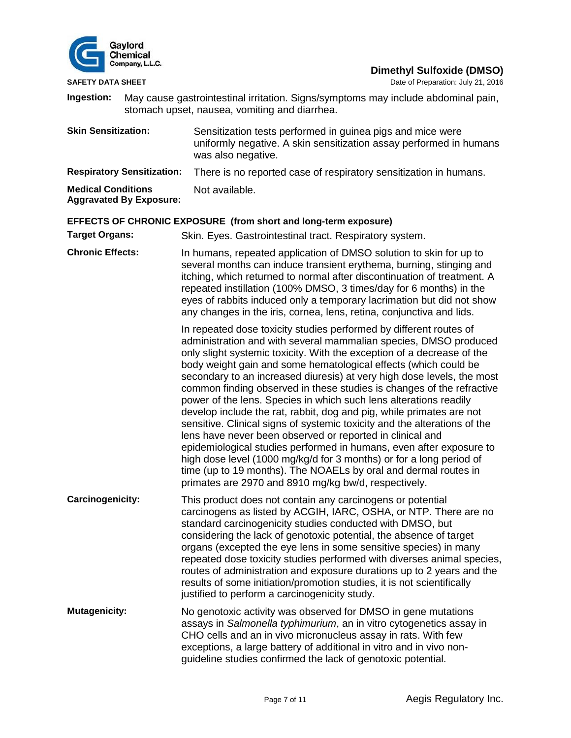

**SAFETY DATA SHEET SHEET Date of Preparation: July 21, 2016** 

**Ingestion:** May cause gastrointestinal irritation. Signs/symptoms may include abdominal pain, stomach upset, nausea, vomiting and diarrhea.

**Skin Sensitization:** Sensitization tests performed in guinea pigs and mice were uniformly negative. A skin sensitization assay performed in humans was also negative. **Respiratory Sensitization:** There is no reported case of respiratory sensitization in humans.

**Medical Conditions**  Not available.

**Aggravated By Exposure:**

# **EFFECTS OF CHRONIC EXPOSURE (from short and long-term exposure)**

**Target Organs:** Skin. Eyes. Gastrointestinal tract. Respiratory system.

**Chronic Effects:** In humans, repeated application of DMSO solution to skin for up to several months can induce transient erythema, burning, stinging and itching, which returned to normal after discontinuation of treatment. A repeated instillation (100% DMSO, 3 times/day for 6 months) in the eyes of rabbits induced only a temporary lacrimation but did not show any changes in the iris, cornea, lens, retina, conjunctiva and lids.

> In repeated dose toxicity studies performed by different routes of administration and with several mammalian species, DMSO produced only slight systemic toxicity. With the exception of a decrease of the body weight gain and some hematological effects (which could be secondary to an increased diuresis) at very high dose levels, the most common finding observed in these studies is changes of the refractive power of the lens. Species in which such lens alterations readily develop include the rat, rabbit, dog and pig, while primates are not sensitive. Clinical signs of systemic toxicity and the alterations of the lens have never been observed or reported in clinical and epidemiological studies performed in humans, even after exposure to high dose level (1000 mg/kg/d for 3 months) or for a long period of time (up to 19 months). The NOAELs by oral and dermal routes in primates are 2970 and 8910 mg/kg bw/d, respectively.

- **Carcinogenicity:** This product does not contain any carcinogens or potential carcinogens as listed by ACGIH, IARC, OSHA, or NTP. There are no standard carcinogenicity studies conducted with DMSO, but considering the lack of genotoxic potential, the absence of target organs (excepted the eye lens in some sensitive species) in many repeated dose toxicity studies performed with diverses animal species, routes of administration and exposure durations up to 2 years and the results of some initiation/promotion studies, it is not scientifically justified to perform a carcinogenicity study.
- **Mutagenicity:** No genotoxic activity was observed for DMSO in gene mutations assays in *Salmonella typhimurium*, an in vitro cytogenetics assay in CHO cells and an in vivo micronucleus assay in rats. With few exceptions, a large battery of additional in vitro and in vivo nonguideline studies confirmed the lack of genotoxic potential.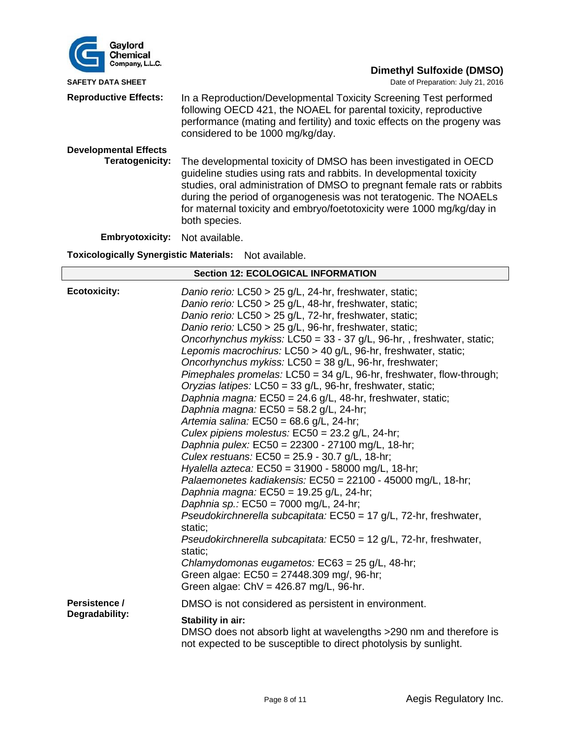| Gaylord<br>Chemical                                             |                                                                                                                                                                                                                                                                                                                                                                                    |  |  |
|-----------------------------------------------------------------|------------------------------------------------------------------------------------------------------------------------------------------------------------------------------------------------------------------------------------------------------------------------------------------------------------------------------------------------------------------------------------|--|--|
| Company, L.L.C.                                                 | <b>Dimethyl Sulfoxide (DMSO)</b>                                                                                                                                                                                                                                                                                                                                                   |  |  |
| <b>SAFETY DATA SHEET</b>                                        | Date of Preparation: July 21, 2016                                                                                                                                                                                                                                                                                                                                                 |  |  |
| <b>Reproductive Effects:</b>                                    | In a Reproduction/Developmental Toxicity Screening Test performed<br>following OECD 421, the NOAEL for parental toxicity, reproductive<br>performance (mating and fertility) and toxic effects on the progeny was<br>considered to be 1000 mg/kg/day.                                                                                                                              |  |  |
| <b>Developmental Effects</b>                                    |                                                                                                                                                                                                                                                                                                                                                                                    |  |  |
| Teratogenicity:                                                 | The developmental toxicity of DMSO has been investigated in OECD<br>guideline studies using rats and rabbits. In developmental toxicity<br>studies, oral administration of DMSO to pregnant female rats or rabbits<br>during the period of organogenesis was not teratogenic. The NOAELs<br>for maternal toxicity and embryo/foetotoxicity were 1000 mg/kg/day in<br>both species. |  |  |
| <b>Embryotoxicity:</b>                                          | Not available.                                                                                                                                                                                                                                                                                                                                                                     |  |  |
| <b>Toxicologically Synergistic Materials:</b><br>Not available. |                                                                                                                                                                                                                                                                                                                                                                                    |  |  |
| <b>Section 12: ECOLOGICAL INFORMATION</b>                       |                                                                                                                                                                                                                                                                                                                                                                                    |  |  |
| <b>Ecotoxicity:</b>                                             | Danio rerio: LC50 > 25 g/L, 24-hr, freshwater, static;<br>Danio rerio: LC50 > 25 g/L, 48-hr, freshwater, static;<br>Danio rerio: LC50 > 25 g/L, 72-hr, freshwater, static;<br>Danio rerio: LC50 > 25 g/L, 96-hr, freshwater, static;                                                                                                                                               |  |  |

*Oncorhynchus mykiss:* LC50 = 33 - 37 g/L, 96-hr, , freshwater, static;

*Pimephales promelas:* LC50 = 34 g/L, 96-hr, freshwater, flow-through;

*Lepomis macrochirus:* LC50 > 40 g/L, 96-hr, freshwater, static; *Oncorhynchus mykiss:* LC50 = 38 g/L, 96-hr, freshwater;

*Palaemonetes kadiakensis:* EC50 = 22100 - 45000 mg/L, 18-hr;

*Pseudokirchnerella subcapitata:* EC50 = 17 g/L, 72-hr, freshwater,

*Pseudokirchnerella subcapitata:* EC50 = 12 g/L, 72-hr, freshwater,

DMSO does not absorb light at wavelengths >290 nm and therefore is

not expected to be susceptible to direct photolysis by sunlight.

*Oryzias latipes:* LC50 = 33 g/L, 96-hr, freshwater, static; *Daphnia magna:* EC50 = 24.6 g/L, 48-hr, freshwater, static;

*Daphnia magna:* EC50 = 58.2 g/L, 24-hr; *Artemia salina:* EC50 = 68.6 g/L, 24-hr;

*Daphnia magna:* EC50 = 19.25 g/L, 24-hr; *Daphnia sp.:* EC50 = 7000 mg/L, 24-hr;

*Culex pipiens molestus:* EC50 = 23.2 g/L, 24-hr; *Daphnia pulex:* EC50 = 22300 - 27100 mg/L, 18-hr; *Culex restuans:* EC50 = 25.9 - 30.7 g/L, 18-hr; *Hyalella azteca:* EC50 = 31900 - 58000 mg/L, 18-hr;

*Chlamydomonas eugametos:* EC63 = 25 g/L, 48-hr;

DMSO is not considered as persistent in environment.

Green algae: EC50 = 27448.309 mg/, 96-hr; Green algae: ChV = 426.87 mg/L, 96-hr.

static;

static;

**Stability in air:**

**Persistence / Degradability:**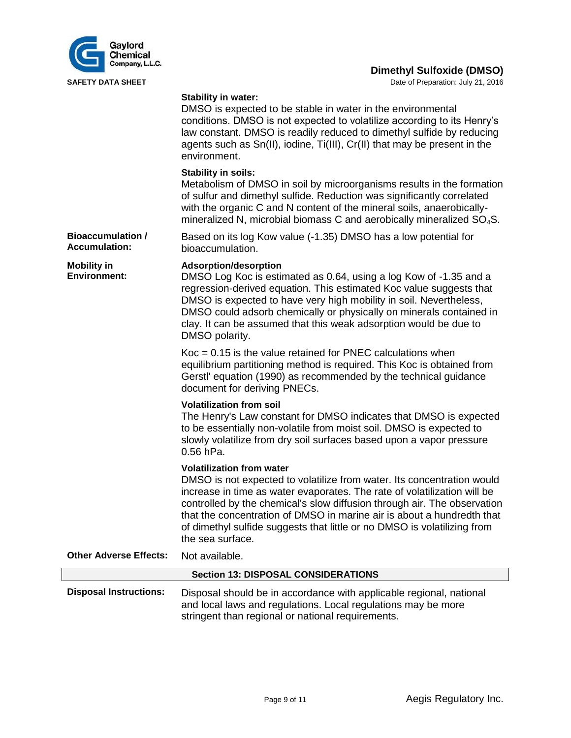

**SAFETY DATA SHEET DATA SHEET Date of Preparation: July 21, 2016** 

#### **Stability in water:**

|                                                  | DMSO is expected to be stable in water in the environmental<br>conditions. DMSO is not expected to volatilize according to its Henry's<br>law constant. DMSO is readily reduced to dimethyl sulfide by reducing<br>agents such as Sn(II), iodine, Ti(III), Cr(II) that may be present in the<br>environment.                                                                                                                                 |
|--------------------------------------------------|----------------------------------------------------------------------------------------------------------------------------------------------------------------------------------------------------------------------------------------------------------------------------------------------------------------------------------------------------------------------------------------------------------------------------------------------|
|                                                  | <b>Stability in soils:</b><br>Metabolism of DMSO in soil by microorganisms results in the formation<br>of sulfur and dimethyl sulfide. Reduction was significantly correlated<br>with the organic C and N content of the mineral soils, anaerobically-<br>mineralized N, microbial biomass C and aerobically mineralized SO <sub>4</sub> S.                                                                                                  |
| <b>Bioaccumulation /</b><br><b>Accumulation:</b> | Based on its log Kow value (-1.35) DMSO has a low potential for<br>bioaccumulation.                                                                                                                                                                                                                                                                                                                                                          |
| <b>Mobility in</b><br><b>Environment:</b>        | <b>Adsorption/desorption</b><br>DMSO Log Koc is estimated as 0.64, using a log Kow of -1.35 and a<br>regression-derived equation. This estimated Koc value suggests that<br>DMSO is expected to have very high mobility in soil. Nevertheless,<br>DMSO could adsorb chemically or physically on minerals contained in<br>clay. It can be assumed that this weak adsorption would be due to<br>DMSO polarity.                                 |
|                                                  | $Koc = 0.15$ is the value retained for PNEC calculations when<br>equilibrium partitioning method is required. This Koc is obtained from<br>Gerstl' equation (1990) as recommended by the technical guidance<br>document for deriving PNECs.                                                                                                                                                                                                  |
|                                                  | <b>Volatilization from soil</b><br>The Henry's Law constant for DMSO indicates that DMSO is expected<br>to be essentially non-volatile from moist soil. DMSO is expected to<br>slowly volatilize from dry soil surfaces based upon a vapor pressure<br>0.56 hPa.                                                                                                                                                                             |
|                                                  | <b>Volatilization from water</b><br>DMSO is not expected to volatilize from water. Its concentration would<br>increase in time as water evaporates. The rate of volatilization will be<br>controlled by the chemical's slow diffusion through air. The observation<br>that the concentration of DMSO in marine air is about a hundredth that<br>of dimethyl sulfide suggests that little or no DMSO is volatilizing from<br>the sea surface. |
| <b>Other Adverse Effects:</b>                    | Not available.                                                                                                                                                                                                                                                                                                                                                                                                                               |
|                                                  | <b>Section 13: DISPOSAL CONSIDERATIONS</b>                                                                                                                                                                                                                                                                                                                                                                                                   |
| <b>Disposal Instructions:</b>                    | Disposal should be in accordance with applicable regional, national<br>and local laws and regulations. Local regulations may be more<br>stringent than regional or national requirements.                                                                                                                                                                                                                                                    |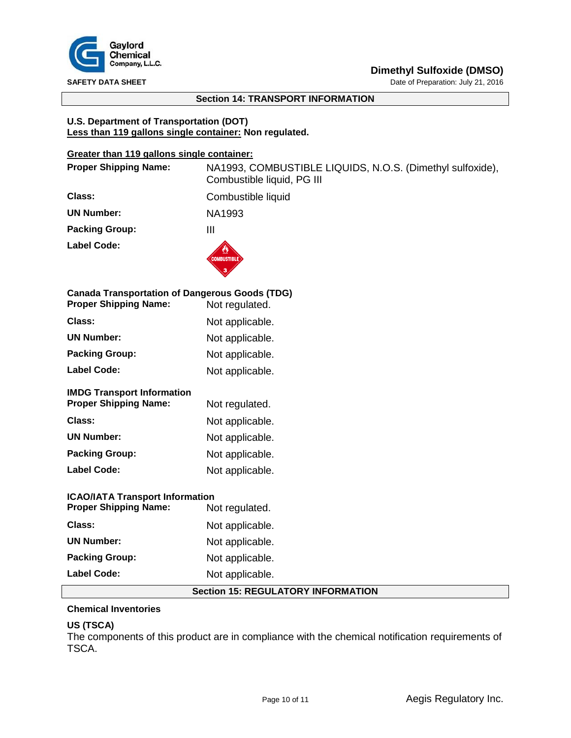

**SAFETY DATA SHEET DATA SHEET Date of Preparation: July 21, 2016** 

# **Section 14: TRANSPORT INFORMATION**

## **U.S. Department of Transportation (DOT) Less than 119 gallons single container: Non regulated.**

# **Greater than 119 gallons single container:**

| <b>Proper Shipping Name:</b>                                                          | NA1993, COMBUSTIBLE LIQUIDS, N.O.S. (Dimethyl sulfoxide),<br>Combustible liquid, PG III |  |
|---------------------------------------------------------------------------------------|-----------------------------------------------------------------------------------------|--|
| Class:                                                                                | Combustible liquid                                                                      |  |
| <b>UN Number:</b>                                                                     | NA1993                                                                                  |  |
| <b>Packing Group:</b>                                                                 | $\mathbf{III}$                                                                          |  |
| <b>Label Code:</b>                                                                    | <b>COMBUSTIBLE</b>                                                                      |  |
| <b>Canada Transportation of Dangerous Goods (TDG)</b><br><b>Proper Shipping Name:</b> | Not regulated.                                                                          |  |
| Class:                                                                                | Not applicable.                                                                         |  |
| <b>UN Number:</b>                                                                     | Not applicable.                                                                         |  |
| <b>Packing Group:</b>                                                                 | Not applicable.                                                                         |  |
| <b>Label Code:</b>                                                                    | Not applicable.                                                                         |  |
| <b>IMDG Transport Information</b><br><b>Proper Shipping Name:</b>                     | Not regulated.                                                                          |  |
| Class:                                                                                | Not applicable.                                                                         |  |
| <b>UN Number:</b>                                                                     | Not applicable.                                                                         |  |
| <b>Packing Group:</b>                                                                 | Not applicable.                                                                         |  |
| <b>Label Code:</b>                                                                    | Not applicable.                                                                         |  |
| <b>ICAO/IATA Transport Information</b>                                                |                                                                                         |  |
| <b>Proper Shipping Name:</b>                                                          | Not regulated.                                                                          |  |
| Class:                                                                                | Not applicable.                                                                         |  |
| <b>UN Number:</b>                                                                     | Not applicable.                                                                         |  |
| <b>Packing Group:</b>                                                                 | Not applicable.                                                                         |  |
| <b>Label Code:</b>                                                                    | Not applicable.                                                                         |  |
| <b>Section 15: REGULATORY INFORMATION</b>                                             |                                                                                         |  |

# **Chemical Inventories**

# **US (TSCA)**

The components of this product are in compliance with the chemical notification requirements of TSCA.